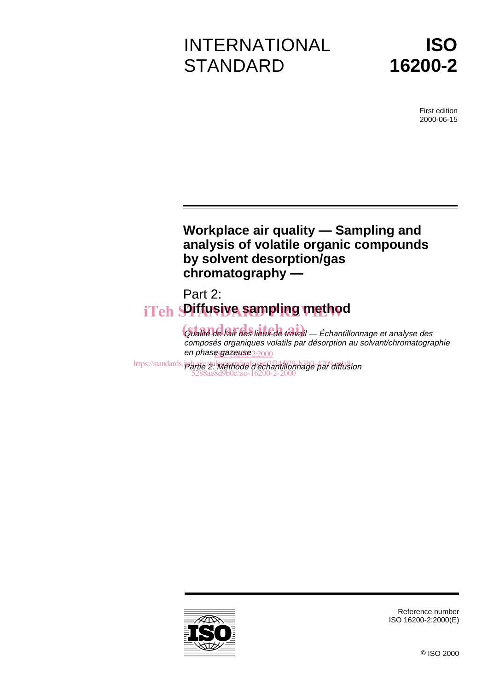# INTERNATIONAL **STANDARD**



First edition 2000-06-15

# **Workplace air quality — Sampling and analysis of volatile organic compounds by solvent desorption/gas chromatography —**

# Part 2: iTeh **SPifusiye sampling method**

Gualité de l'air des lieux de travail — Échantillonnage et analyse des composés organiques volatils par désorption au solvant/chromatographie en phase gazeuse <del>2:2</del>000

https://standards.ipbari/catalog/standards/sist/3f24f029-b3b0-4709-affa\$ion 5288ae8d9b0c/iso-16200-2-2000



Reference number ISO 16200-2:2000(E)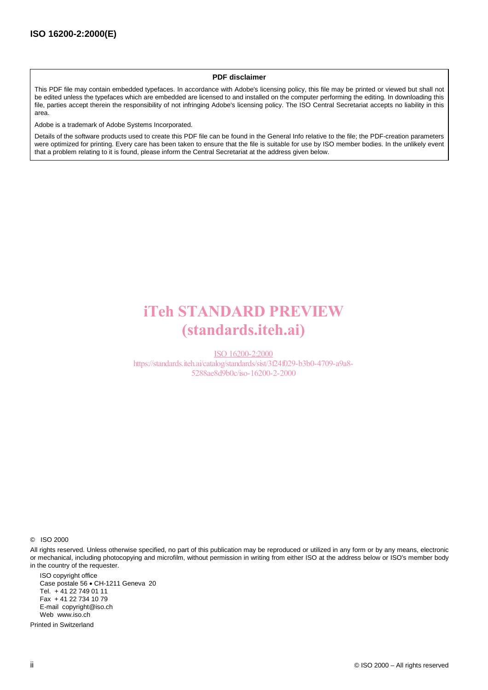#### **PDF disclaimer**

This PDF file may contain embedded typefaces. In accordance with Adobe's licensing policy, this file may be printed or viewed but shall not be edited unless the typefaces which are embedded are licensed to and installed on the computer performing the editing. In downloading this file, parties accept therein the responsibility of not infringing Adobe's licensing policy. The ISO Central Secretariat accepts no liability in this area.

Adobe is a trademark of Adobe Systems Incorporated.

Details of the software products used to create this PDF file can be found in the General Info relative to the file; the PDF-creation parameters were optimized for printing. Every care has been taken to ensure that the file is suitable for use by ISO member bodies. In the unlikely event that a problem relating to it is found, please inform the Central Secretariat at the address given below.

# iTeh STANDARD PREVIEW (standards.iteh.ai)

ISO 16200-2:2000 https://standards.iteh.ai/catalog/standards/sist/3f24f029-b3b0-4709-a9a8- 5288ae8d9b0c/iso-16200-2-2000

© ISO 2000

All rights reserved. Unless otherwise specified, no part of this publication may be reproduced or utilized in any form or by any means, electronic or mechanical, including photocopying and microfilm, without permission in writing from either ISO at the address below or ISO's member body in the country of the requester.

ISO copyright office Case postale 56 · CH-1211 Geneva 20 Tel. + 41 22 749 01 11 Fax + 41 22 734 10 79 E-mail copyright@iso.ch Web www.iso.ch

Printed in Switzerland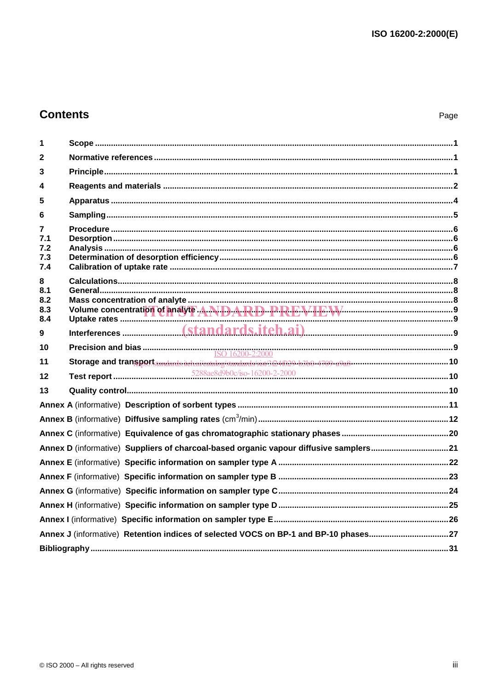# **Contents**

| 1            |                                                                                                                                                                                                                               |  |
|--------------|-------------------------------------------------------------------------------------------------------------------------------------------------------------------------------------------------------------------------------|--|
| 2            |                                                                                                                                                                                                                               |  |
| 3            |                                                                                                                                                                                                                               |  |
| 4            |                                                                                                                                                                                                                               |  |
| 5            |                                                                                                                                                                                                                               |  |
| 6            |                                                                                                                                                                                                                               |  |
| 7            |                                                                                                                                                                                                                               |  |
| 7.1<br>7.2   |                                                                                                                                                                                                                               |  |
| 7.3          |                                                                                                                                                                                                                               |  |
| 7.4          |                                                                                                                                                                                                                               |  |
| 8            |                                                                                                                                                                                                                               |  |
| 8.1<br>8.2   |                                                                                                                                                                                                                               |  |
| 8.3          |                                                                                                                                                                                                                               |  |
| 8.4          |                                                                                                                                                                                                                               |  |
| $\mathbf{9}$ |                                                                                                                                                                                                                               |  |
| 10           |                                                                                                                                                                                                                               |  |
| 11           | Storage and transport transport in the identity of the second and solution of the fourth of the second second second second second second second second second second second second second second second second second second |  |
| $12 \,$      |                                                                                                                                                                                                                               |  |
| 13           |                                                                                                                                                                                                                               |  |
|              |                                                                                                                                                                                                                               |  |
|              |                                                                                                                                                                                                                               |  |
|              |                                                                                                                                                                                                                               |  |
|              | Annex D (informative) Suppliers of charcoal-based organic vapour diffusive samplers21                                                                                                                                         |  |
|              |                                                                                                                                                                                                                               |  |
|              |                                                                                                                                                                                                                               |  |
|              |                                                                                                                                                                                                                               |  |
|              |                                                                                                                                                                                                                               |  |
|              |                                                                                                                                                                                                                               |  |
|              | Annex J (informative) Retention indices of selected VOCS on BP-1 and BP-10 phases27                                                                                                                                           |  |
|              |                                                                                                                                                                                                                               |  |
|              |                                                                                                                                                                                                                               |  |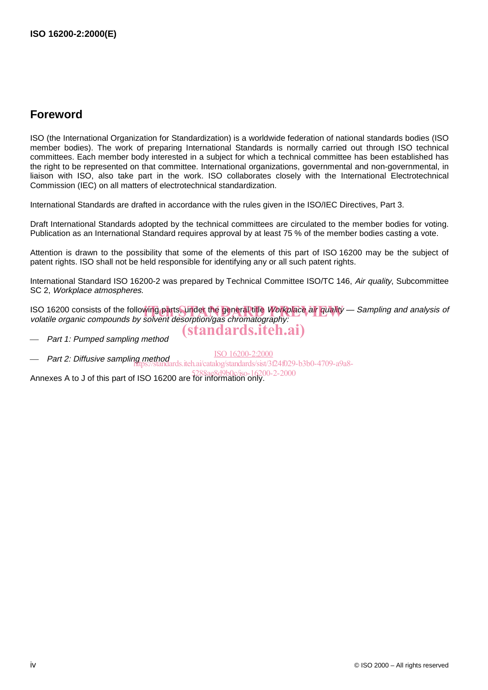# **Foreword**

ISO (the International Organization for Standardization) is a worldwide federation of national standards bodies (ISO member bodies). The work of preparing International Standards is normally carried out through ISO technical committees. Each member body interested in a subject for which a technical committee has been established has the right to be represented on that committee. International organizations, governmental and non-governmental, in liaison with ISO, also take part in the work. ISO collaborates closely with the International Electrotechnical Commission (IEC) on all matters of electrotechnical standardization.

International Standards are drafted in accordance with the rules given in the ISO/IEC Directives, Part 3.

Draft International Standards adopted by the technical committees are circulated to the member bodies for voting. Publication as an International Standard requires approval by at least 75 % of the member bodies casting a vote.

Attention is drawn to the possibility that some of the elements of this part of ISO 16200 may be the subject of patent rights. ISO shall not be held responsible for identifying any or all such patent rights.

International Standard ISO 16200-2 was prepared by Technical Committee ISO/TC 146, Air quality, Subcommittee SC 2, Workplace atmospheres.

ISO 16200 consists of the following parts, under the general title Workplace air quality — Sampling and analysis of<br>volatile organic compounds by solvent desorption/gas chromatography: volatile organic compounds by solvent desorption/gas chromatography:

Part 1: Pumped sampling method

(standards.iteh.ai)

 Part 2: Diffusive sampling method ISO 16200-2:2000 ds.iteh.ai/catalog/standards/sist/3f24f029-b3b0-4709-a9a8-

Annexes A to J of this part of ISO 16200 are for information only.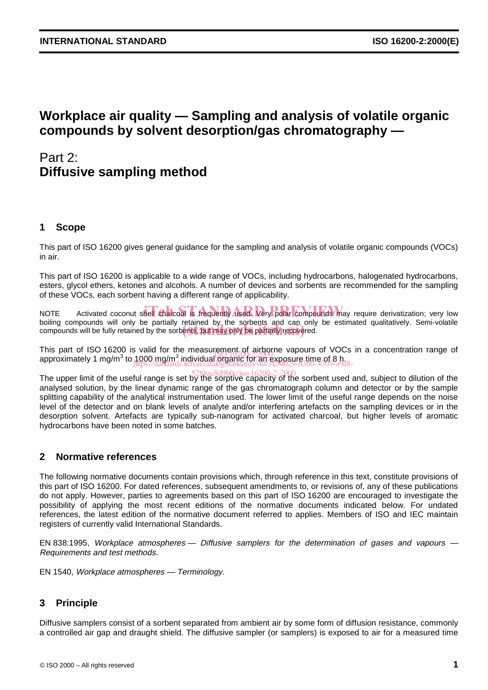# **Workplace air quality — Sampling and analysis of volatile organic compounds by solvent desorption/gas chromatography —**

# Part 2: **Diffusive sampling method**

# **1 Scope**

This part of ISO 16200 gives general guidance for the sampling and analysis of volatile organic compounds (VOCs) in air.

This part of ISO 16200 is applicable to a wide range of VOCs, including hydrocarbons, halogenated hydrocarbons, esters, glycol ethers, ketones and alcohols. A number of devices and sorbents are recommended for the sampling of these VOCs, each sorbent having a different range of applicability.

NOTE Activated coconut shell charcoal is frequently used. Very polar compounds may require derivatization; very low boiling compounds will only be partially retained by the sorbents and can only be estimated qualitatively. Semi-volatile bolling compounds will only be partially retained by the sorbents and can only<br>compounds will be fully retained by the sorbents, but may only be partially recovered.

This part of ISO 16200 is valid for the measurement of airborne vapours of VOCs in a concentration range of This part of 150 16200 is valid for the measurement  $q_1$  all points vapours of VOC<br>approximately 1 mg/m<sup>3</sup> to 1000 mg/m<sup>3</sup> individual organic for an exposure time of 8 h. https://standards.iteh.ai/catalog/standards/sist/3f24f029-b3b0-4709-a9a8-

The upper limit of the useful range is set by the sorptive capacity of the sorbent used and, subject to dilution of the 5288ae8d9b0c/iso-16200-2-2000analysed solution, by the linear dynamic range of the gas chromatograph column and detector or by the sample splitting capability of the analytical instrumentation used. The lower limit of the useful range depends on the noise level of the detector and on blank levels of analyte and/or interfering artefacts on the sampling devices or in the desorption solvent. Artefacts are typically sub-nanogram for activated charcoal, but higher levels of aromatic hydrocarbons have been noted in some batches.

# **2 Normative references**

The following normative documents contain provisions which, through reference in this text, constitute provisions of this part of ISO 16200. For dated references, subsequent amendments to, or revisions of, any of these publications do not apply. However, parties to agreements based on this part of ISO 16200 are encouraged to investigate the possibility of applying the most recent editions of the normative documents indicated below. For undated references, the latest edition of the normative document referred to applies. Members of ISO and IEC maintain registers of currently valid International Standards.

EN 838:1995, Workplace atmospheres — Diffusive samplers for the determination of gases and vapours — Requirements and test methods.

EN 1540, Workplace atmospheres — Terminology.

# **3 Principle**

Diffusive samplers consist of a sorbent separated from ambient air by some form of diffusion resistance, commonly a controlled air gap and draught shield. The diffusive sampler (or samplers) is exposed to air for a measured time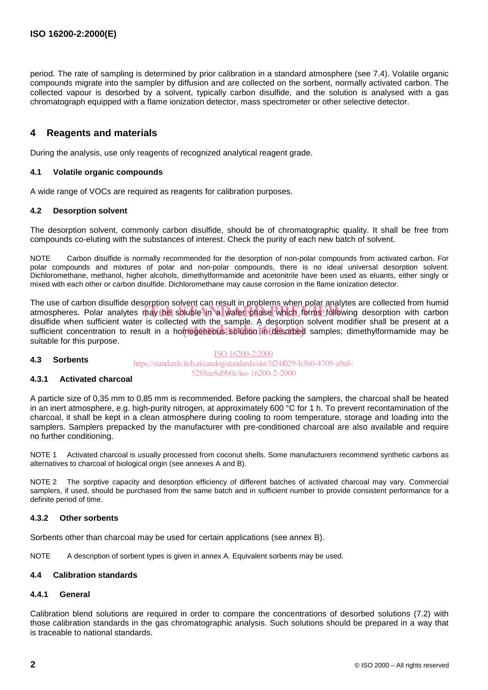period. The rate of sampling is determined by prior calibration in a standard atmosphere (see 7.4). Volatile organic compounds migrate into the sampler by diffusion and are collected on the sorbent, normally activated carbon. The collected vapour is desorbed by a solvent, typically carbon disulfide, and the solution is analysed with a gas chromatograph equipped with a flame ionization detector, mass spectrometer or other selective detector.

# **4 Reagents and materials**

During the analysis, use only reagents of recognized analytical reagent grade.

#### **4.1 Volatile organic compounds**

A wide range of VOCs are required as reagents for calibration purposes.

#### **4.2 Desorption solvent**

The desorption solvent, commonly carbon disulfide, should be of chromatographic quality. It shall be free from compounds co-eluting with the substances of interest. Check the purity of each new batch of solvent.

NOTE Carbon disulfide is normally recommended for the desorption of non-polar compounds from activated carbon. For polar compounds and mixtures of polar and non-polar compounds, there is no ideal universal desorption solvent. Dichloromethane, methanol, higher alcohols, dimethylformamide and acetonitrile have been used as eluants, either singly or mixed with each other or carbon disulfide. Dichloromethane may cause corrosion in the flame ionization detector.

The use of carbon disulfide desorption solvent can result in problems when polar analytes are collected from humid The use of canoni disulfule desorption solvent can result in problems when polar analyties are collected from humid<br>atmospheres. Polar analytes may be soluble in a water phase which forms following desorption with carbon disulfide when sufficient water is collected with the sample. A desorption solvent modifier shall be present at a disulfide when sufficient water is collected with the sample. A desorbing solvent modifier shall be present at a<br>sufficient concentration to result in a homogeneous solution in desorbed samples; dimethylformamide may be suitable for this purpose.

#### **4.3 Sorbents**

ISO 16200-2:2000 https://standards.iteh.ai/catalog/standards/sist/3f24f029-b3b0-4709-a9a8- 5288ae8d9b0c/iso-16200-2-2000

#### **4.3.1 Activated charcoal**

A particle size of 0,35 mm to 0,85 mm is recommended. Before packing the samplers, the charcoal shall be heated in an inert atmosphere, e.g. high-purity nitrogen, at approximately 600 °C for 1 h. To prevent recontamination of the charcoal, it shall be kept in a clean atmosphere during cooling to room temperature, storage and loading into the samplers. Samplers prepacked by the manufacturer with pre-conditioned charcoal are also available and require no further conditioning.

NOTE 1 Activated charcoal is usually processed from coconut shells. Some manufacturers recommend synthetic carbons as alternatives to charcoal of biological origin (see annexes A and B).

NOTE 2 The sorptive capacity and desorption efficiency of different batches of activated charcoal may vary. Commercial samplers, if used, should be purchased from the same batch and in sufficient number to provide consistent performance for a definite period of time.

#### **4.3.2 Other sorbents**

Sorbents other than charcoal may be used for certain applications (see annex B).

NOTE A description of sorbent types is given in annex A. Equivalent sorbents may be used.

#### **4.4 Calibration standards**

#### **4.4.1 General**

Calibration blend solutions are required in order to compare the concentrations of desorbed solutions (7.2) with those calibration standards in the gas chromatographic analysis. Such solutions should be prepared in a way that is traceable to national standards.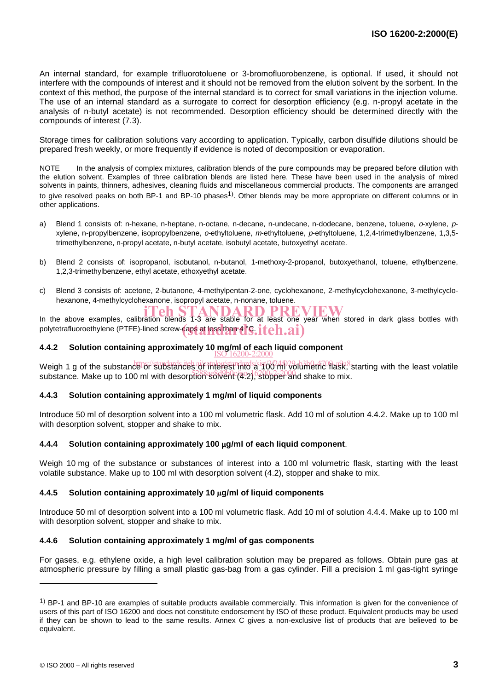An internal standard, for example trifluorotoluene or 3-bromofluorobenzene, is optional. If used, it should not interfere with the compounds of interest and it should not be removed from the elution solvent by the sorbent. In the context of this method, the purpose of the internal standard is to correct for small variations in the injection volume. The use of an internal standard as a surrogate to correct for desorption efficiency (e.g. n-propyl acetate in the analysis of n-butyl acetate) is not recommended. Desorption efficiency should be determined directly with the compounds of interest (7.3).

Storage times for calibration solutions vary according to application. Typically, carbon disulfide dilutions should be prepared fresh weekly, or more frequently if evidence is noted of decomposition or evaporation.

NOTE In the analysis of complex mixtures, calibration blends of the pure compounds may be prepared before dilution with the elution solvent. Examples of three calibration blends are listed here. These have been used in the analysis of mixed solvents in paints, thinners, adhesives, cleaning fluids and miscellaneous commercial products. The components are arranged to give resolved peaks on both BP-1 and BP-10 phases<sup>1)</sup>. Other blends may be more appropriate on different columns or in other applications.

- a) Blend 1 consists of: n-hexane, n-heptane, n-octane, n-decane, n-undecane, n-dodecane, benzene, toluene, o-xylene, pxylene, n-propylbenzene, isopropylbenzene, o-ethyltoluene, <sup>m</sup>-ethyltoluene, p-ethyltoluene, 1,2,4-trimethylbenzene, 1,3,5 trimethylbenzene, n-propyl acetate, n-butyl acetate, isobutyl acetate, butoxyethyl acetate.
- b) Blend 2 consists of: isopropanol, isobutanol, n-butanol, 1-methoxy-2-propanol, butoxyethanol, toluene, ethylbenzene, 1,2,3-trimethylbenzene, ethyl acetate, ethoxyethyl acetate.
- c) Blend 3 consists of: acetone, 2-butanone, 4-methylpentan-2-one, cyclohexanone, 2-methylcyclohexanone, 3-methylcyclohexanone, 4-methylcyclohexanone, isopropyl acetate, n-nonane, toluene.

IN the above examples, calibration blends 1-3 are stable for at least one year when stored in dark glass bottles with polytetrafluoroethylene (PTFE)-lined screw-caps at less than 4 °C. iteh.ai)

# **4.4.2 Solution containing approximately 10 mg/ml of each liquid component** ISO 16200-2:2000

Weigh 1 g of the substance or substandards tel air at leg standards/sist/3f24f029-b3b0-4709-a9a8-<br>Weigh 1 g of the substance or substances of interest into a 100 ml volumetric flask, starting with the least volatile substance. Make up to 100 ml with desorption solvent (4.2), stopper and shake to mix.

#### **4.4.3 Solution containing approximately 1 mg/ml of liquid components**

Introduce 50 ml of desorption solvent into a 100 ml volumetric flask. Add 10 ml of solution 4.4.2. Make up to 100 ml with desorption solvent, stopper and shake to mix.

#### **4.4.4 Solution containing approximately 100 g/ml of each liquid component**.

Weigh 10 mg of the substance or substances of interest into a 100 ml volumetric flask, starting with the least volatile substance. Make up to 100 ml with desorption solvent (4.2), stopper and shake to mix.

#### **4.4.5 Solution containing approximately 10 g/ml of liquid components**

Introduce 50 ml of desorption solvent into a 100 ml volumetric flask. Add 10 ml of solution 4.4.4. Make up to 100 ml with desorption solvent, stopper and shake to mix.

#### **4.4.6 Solution containing approximately 1 mg/ml of gas components**

For gases, e.g. ethylene oxide, a high level calibration solution may be prepared as follows. Obtain pure gas at atmospheric pressure by filling a small plastic gas-bag from a gas cylinder. Fill a precision 1 ml gas-tight syringe

<sup>&</sup>lt;sup>1</sup>) BP-1 and BP-10 are examples of suitable products available commercially. This information is given for the convenience of users of this part of ISO 16200 and does not constitute endorsement by ISO of these product. Equivalent products may be used if they can be shown to lead to the same results. Annex C gives a non-exclusive list of products that are believed to be equivalent.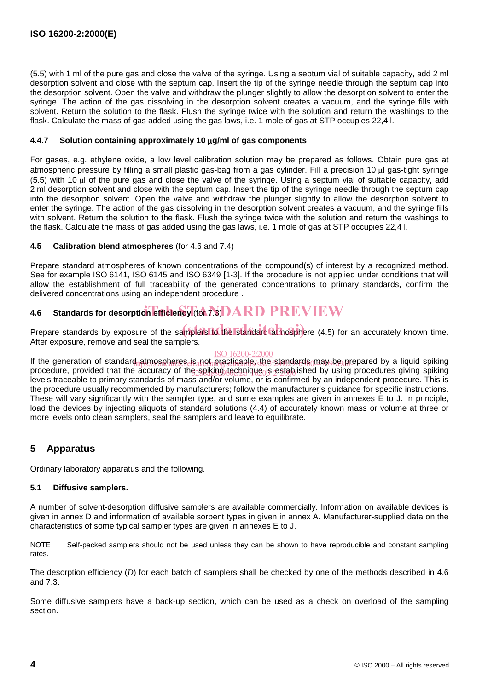(5.5) with 1 ml of the pure gas and close the valve of the syringe. Using a septum vial of suitable capacity, add 2 ml desorption solvent and close with the septum cap. Insert the tip of the syringe needle through the septum cap into the desorption solvent. Open the valve and withdraw the plunger slightly to allow the desorption solvent to enter the syringe. The action of the gas dissolving in the desorption solvent creates a vacuum, and the syringe fills with solvent. Return the solution to the flask. Flush the syringe twice with the solution and return the washings to the flask. Calculate the mass of gas added using the gas laws, i.e. 1 mole of gas at STP occupies 22,4 l.

#### **4.4.7 Solution containing approximately 10 g/ml of gas components**

For gases, e.g. ethylene oxide, a low level calibration solution may be prepared as follows. Obtain pure gas at atmospheric pressure by filling a small plastic gas-bag from a gas cylinder. Fill a precision 10 ul gas-tight syringe (5.5) with 10 ul of the pure gas and close the valve of the syringe. Using a septum vial of suitable capacity, add 2 ml desorption solvent and close with the septum cap. Insert the tip of the syringe needle through the septum cap into the desorption solvent. Open the valve and withdraw the plunger slightly to allow the desorption solvent to enter the syringe. The action of the gas dissolving in the desorption solvent creates a vacuum, and the syringe fills with solvent. Return the solution to the flask. Flush the syringe twice with the solution and return the washings to the flask. Calculate the mass of gas added using the gas laws, i.e. 1 mole of gas at STP occupies 22,4 l.

#### **4.5 Calibration blend atmospheres** (for 4.6 and 7.4)

Prepare standard atmospheres of known concentrations of the compound(s) of interest by a recognized method. See for example ISO 6141, ISO 6145 and ISO 6349 [1-3]. If the procedure is not applied under conditions that will allow the establishment of full traceability of the generated concentrations to primary standards, confirm the delivered concentrations using an independent procedure .

# **4.6** Standards for desorption efficiency (for 7.3) DARD PREVIEW

Prepare standards by exposure of the samplers to the Istandard atmosphere (4.5) for an accurately known time. After exposure, remove and seal the samplers.

## ISO 16200-2:2000

If the generation of standard atmospheres. is not practicable, the standards may be prepared by a liquid spiking procedure, provided that the accuracy of the spiking technique is established by using procedures giving spiking levels traceable to primary standards of mass and/or volume, or is confirmed by an independent procedure. This is the procedure usually recommended by manufacturers; follow the manufacturer's guidance for specific instructions. These will vary significantly with the sampler type, and some examples are given in annexes E to J. In principle, load the devices by injecting aliquots of standard solutions (4.4) of accurately known mass or volume at three or more levels onto clean samplers, seal the samplers and leave to equilibrate.

# **5 Apparatus**

Ordinary laboratory apparatus and the following.

## **5.1 Diffusive samplers.**

A number of solvent-desorption diffusive samplers are available commercially. Information on available devices is given in annex D and information of available sorbent types in given in annex A. Manufacturer-supplied data on the characteristics of some typical sampler types are given in annexes E to J.

NOTE Self-packed samplers should not be used unless they can be shown to have reproducible and constant sampling rates.

The desorption efficiency (*D*) for each batch of samplers shall be checked by one of the methods described in 4.6 and 7.3.

Some diffusive samplers have a back-up section, which can be used as a check on overload of the sampling section.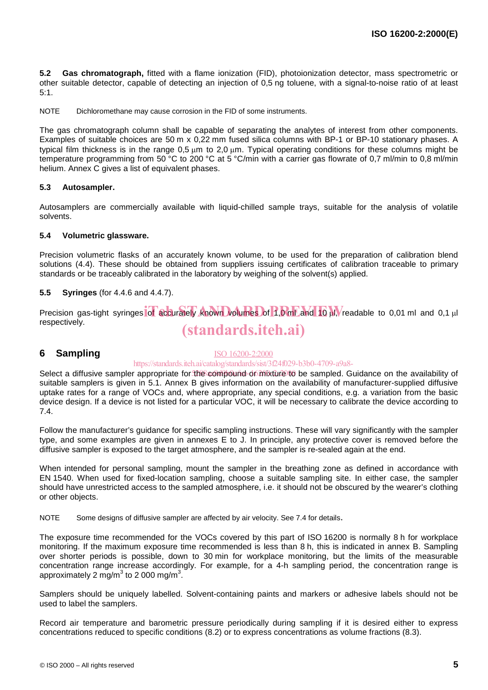**5.2 Gas chromatograph,** fitted with a flame ionization (FID), photoionization detector, mass spectrometric or other suitable detector, capable of detecting an injection of 0,5 ng toluene, with a signal-to-noise ratio of at least 5:1.

NOTE Dichloromethane may cause corrosion in the FID of some instruments.

The gas chromatograph column shall be capable of separating the analytes of interest from other components. Examples of suitable choices are 50 m x 0,22 mm fused silica columns with BP-1 or BP-10 stationary phases. A typical film thickness is in the range 0.5 um to 2.0 um. Typical operating conditions for these columns might be temperature programming from 50 °C to 200 °C at 5 °C/min with a carrier gas flowrate of 0,7 ml/min to 0,8 ml/min helium. Annex C gives a list of equivalent phases.

#### **5.3 Autosampler.**

Autosamplers are commercially available with liquid-chilled sample trays, suitable for the analysis of volatile solvents.

#### **5.4 Volumetric glassware.**

Precision volumetric flasks of an accurately known volume, to be used for the preparation of calibration blend solutions (4.4). These should be obtained from suppliers issuing certificates of calibration traceable to primary standards or be traceably calibrated in the laboratory by weighing of the solvent(s) applied.

#### **5.5 Syringes** (for 4.4.6 and 4.4.7).

Precision gas-tight syringes of accurately known volumes of 1,0 ml and 10 M, readable to 0,01 ml and 0,1 µl respectively. (standards.iteh.ai)

## **6 Sampling**

#### ISO 16200-2:2000

#### https://standards.iteh.ai/catalog/standards/sist/3f24f029-b3b0-4709-a9a8-

Select a diffusive sampler appropriate for the compound or mixture to be sampled. Guidance on the availability of suitable samplers is given in 5.1. Annex B gives information on the availability of manufacturer-supplied diffusive uptake rates for a range of VOCs and, where appropriate, any special conditions, e.g. a variation from the basic device design. If a device is not listed for a particular VOC, it will be necessary to calibrate the device according to 7.4.

Follow the manufacturer's guidance for specific sampling instructions. These will vary significantly with the sampler type, and some examples are given in annexes E to J. In principle, any protective cover is removed before the diffusive sampler is exposed to the target atmosphere, and the sampler is re-sealed again at the end.

When intended for personal sampling, mount the sampler in the breathing zone as defined in accordance with EN 1540. When used for fixed-location sampling, choose a suitable sampling site. In either case, the sampler should have unrestricted access to the sampled atmosphere, i.e. it should not be obscured by the wearer's clothing or other objects.

NOTE Some designs of diffusive sampler are affected by air velocity. See 7.4 for details.

The exposure time recommended for the VOCs covered by this part of ISO 16200 is normally 8 h for workplace monitoring. If the maximum exposure time recommended is less than 8 h, this is indicated in annex B. Sampling over shorter periods is possible, down to 30 min for workplace monitoring, but the limits of the measurable concentration range increase accordingly. For example, for a 4-h sampling period, the concentration range is approximately 2 mg/m $^3$  to 2 000 mg/m $^3$ .

Samplers should be uniquely labelled. Solvent-containing paints and markers or adhesive labels should not be used to label the samplers.

Record air temperature and barometric pressure periodically during sampling if it is desired either to express concentrations reduced to specific conditions (8.2) or to express concentrations as volume fractions (8.3).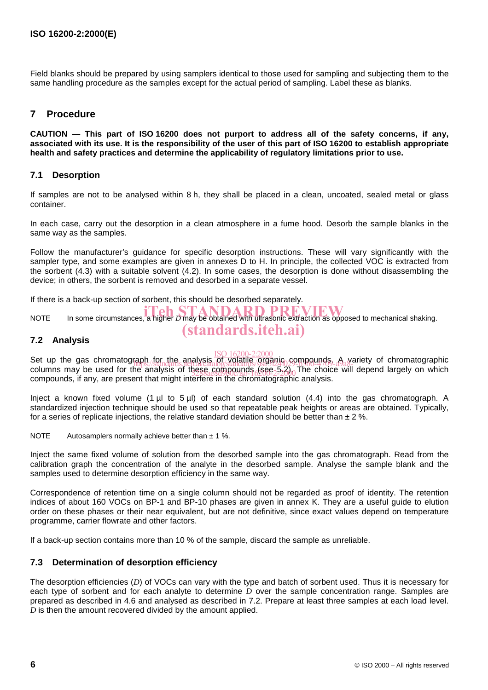Field blanks should be prepared by using samplers identical to those used for sampling and subjecting them to the same handling procedure as the samples except for the actual period of sampling. Label these as blanks.

# **7 Procedure**

**CAUTION — This part of ISO 16200 does not purport to address all of the safety concerns, if any, associated with its use. It is the responsibility of the user of this part of ISO 16200 to establish appropriate health and safety practices and determine the applicability of regulatory limitations prior to use.**

## **7.1 Desorption**

If samples are not to be analysed within 8 h, they shall be placed in a clean, uncoated, sealed metal or glass container.

In each case, carry out the desorption in a clean atmosphere in a fume hood. Desorb the sample blanks in the same way as the samples.

Follow the manufacturer's guidance for specific desorption instructions. These will vary significantly with the sampler type, and some examples are given in annexes D to H. In principle, the collected VOC is extracted from the sorbent (4.3) with a suitable solvent (4.2). In some cases, the desorption is done without disassembling the device; in others, the sorbent is removed and desorbed in a separate vessel.

If there is a back-up section of sorbent, this should be desorbed separately.

**ITER IN STANDARD PREVIEW**<br>NOTE In some circumstances, a higher *D* may be obtained with ultrasonic extraction as opposed to mechanical shaking.

# **7.2 Analysis**

Set up the gas chromatograph for the analysis pf volatile organic compounds. A variety of chromatographic columns may be used for the analysis of these compounds (see 5.2). The choice will depend largely on which compounds, if any, are present that might interfere in the chromatographic analysis. fabn./for.ine\_analysis\_of\_yolatile\_organic\_compounds.\_A\_va<br>https://standards.iteh.a/catalog/standards/sist/3f29-b2b0-4709-a9a8-

(standards.iteh.ai)

Inject a known fixed volume (1 µl to 5 µl) of each standard solution (4.4) into the gas chromatograph. A standardized injection technique should be used so that repeatable peak heights or areas are obtained. Typically, for a series of replicate injections, the relative standard deviation should be better than  $\pm 2\%$ .

NOTE Autosamplers normally achieve better than  $\pm$  1 %.

Inject the same fixed volume of solution from the desorbed sample into the gas chromatograph. Read from the calibration graph the concentration of the analyte in the desorbed sample. Analyse the sample blank and the samples used to determine desorption efficiency in the same way.

Correspondence of retention time on a single column should not be regarded as proof of identity. The retention indices of about 160 VOCs on BP-1 and BP-10 phases are given in annex K. They are a useful guide to elution order on these phases or their near equivalent, but are not definitive, since exact values depend on temperature programme, carrier flowrate and other factors.

If a back-up section contains more than 10 % of the sample, discard the sample as unreliable.

## **7.3 Determination of desorption efficiency**

The desorption efficiencies (*D*) of VOCs can vary with the type and batch of sorbent used. Thus it is necessary for each type of sorbent and for each analyte to determine *D* over the sample concentration range. Samples are prepared as described in 4.6 and analysed as described in 7.2. Prepare at least three samples at each load level. *D* is then the amount recovered divided by the amount applied.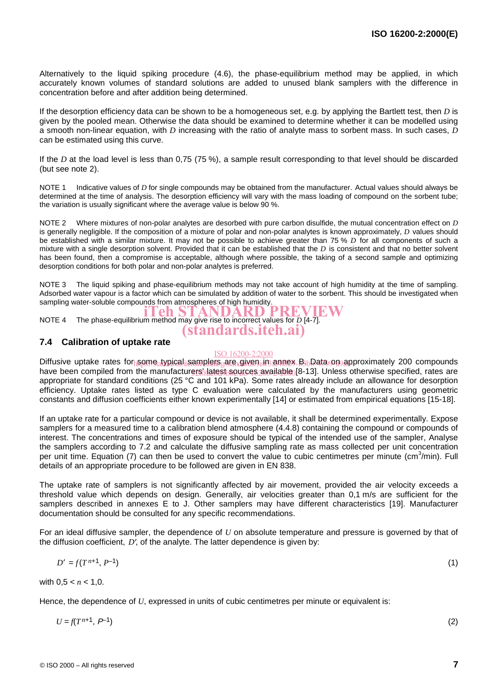Alternatively to the liquid spiking procedure (4.6), the phase-equilibrium method may be applied, in which accurately known volumes of standard solutions are added to unused blank samplers with the difference in concentration before and after addition being determined.

If the desorption efficiency data can be shown to be a homogeneous set, e.g. by applying the Bartlett test, then *D* is given by the pooled mean. Otherwise the data should be examined to determine whether it can be modelled using a smooth non-linear equation, with *D* increasing with the ratio of analyte mass to sorbent mass. In such cases, *D* can be estimated using this curve.

If the *D* at the load level is less than 0,75 (75 %), a sample result corresponding to that level should be discarded (but see note 2).

NOTE 1 Indicative values of *D* for single compounds may be obtained from the manufacturer. Actual values should always be determined at the time of analysis. The desorption efficiency will vary with the mass loading of compound on the sorbent tube; the variation is usually significant where the average value is below 90 %.

NOTE 2 Where mixtures of non-polar analytes are desorbed with pure carbon disulfide, the mutual concentration effect on *D* is generally negligible. If the composition of a mixture of polar and non-polar analytes is known approximately, *D* values should be established with a similar mixture. It may not be possible to achieve greater than 75 % *D* for all components of such a mixture with a single desorption solvent. Provided that it can be established that the *D* is consistent and that no better solvent has been found, then a compromise is acceptable, although where possible, the taking of a second sample and optimizing desorption conditions for both polar and non-polar analytes is preferred.

NOTE 3 The liquid spiking and phase-equilibrium methods may not take account of high humidity at the time of sampling. Adsorbed water vapour is a factor which can be simulated by addition of water to the sorbent. This should be investigated when sampling water-soluble compounds from atmospheres of high humidity.

NOTE 4 The phase-equilibrium method may give rise to incorrect values for *D* [4-7].

## **7.4 Calibration of uptake rate**

## ISO 16200-2:2000

(standards.iteh.ai)

Diffusive uptake rates for<sub>h</sub>some<sub>a</sub>typical samplers<sub>g</sub>are given in annex B<sub>3b</sub>Data on approximately 200 compounds have been compiled from the manufacturers'slatest sources available [8-13]. Unless otherwise specified, rates are appropriate for standard conditions (25 °C and 101 kPa). Some rates already include an allowance for desorption efficiency. Uptake rates listed as type C evaluation were calculated by the manufacturers using geometric constants and diffusion coefficients either known experimentally [14] or estimated from empirical equations [15-18].

If an uptake rate for a particular compound or device is not available, it shall be determined experimentally. Expose samplers for a measured time to a calibration blend atmosphere (4.4.8) containing the compound or compounds of interest. The concentrations and times of exposure should be typical of the intended use of the sampler, Analyse the samplers according to 7.2 and calculate the diffusive sampling rate as mass collected per unit concentration per unit time. Equation (7) can then be used to convert the value to cubic centimetres per minute (cm<sup>3</sup>/min). Full details of an appropriate procedure to be followed are given in EN 838.

The uptake rate of samplers is not significantly affected by air movement, provided the air velocity exceeds a threshold value which depends on design. Generally, air velocities greater than 0,1 m/s are sufficient for the samplers described in annexes E to J. Other samplers may have different characteristics [19]. Manufacturer documentation should be consulted for any specific recommendations.

For an ideal diffusive sampler, the dependence of *U* on absolute temperature and pressure is governed by that of the diffusion coefficient, *D'*, of the analyte. The latter dependence is given by:

$$
D' = f(T^{n+1}, P^{-1})
$$
 (1)

with  $0.5 < n < 1.0$ .

Hence, the dependence of U, expressed in units of cubic centimetres per minute or equivalent is:

 $U = f(T^{n+1}, P^{-1})$  (2)